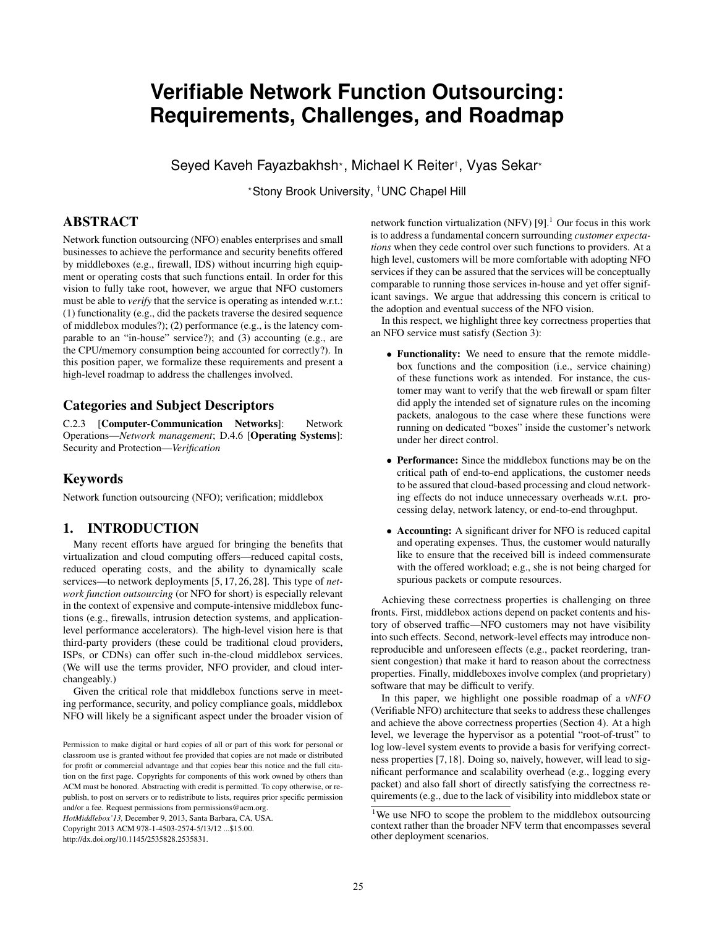# **Verifiable Network Function Outsourcing: Requirements, Challenges, and Roadmap**

Seyed Kaveh Fayazbakhsh\*, Michael K Reiter†, Vyas Sekar\*

?Stony Brook University, †UNC Chapel Hill

# ABSTRACT

Network function outsourcing (NFO) enables enterprises and small businesses to achieve the performance and security benefits offered by middleboxes (e.g., firewall, IDS) without incurring high equipment or operating costs that such functions entail. In order for this vision to fully take root, however, we argue that NFO customers must be able to *verify* that the service is operating as intended w.r.t.: (1) functionality (e.g., did the packets traverse the desired sequence of middlebox modules?); (2) performance (e.g., is the latency comparable to an "in-house" service?); and (3) accounting (e.g., are the CPU/memory consumption being accounted for correctly?). In this position paper, we formalize these requirements and present a high-level roadmap to address the challenges involved.

# Categories and Subject Descriptors

C.2.3 [Computer-Communication Networks]: Network Operations—*Network management*; D.4.6 [Operating Systems]: Security and Protection—*Verification*

# Keywords

Network function outsourcing (NFO); verification; middlebox

# 1. INTRODUCTION

Many recent efforts have argued for bringing the benefits that virtualization and cloud computing offers—reduced capital costs, reduced operating costs, and the ability to dynamically scale services—to network deployments [5, 17, 26, 28]. This type of *network function outsourcing* (or NFO for short) is especially relevant in the context of expensive and compute-intensive middlebox functions (e.g., firewalls, intrusion detection systems, and applicationlevel performance accelerators). The high-level vision here is that third-party providers (these could be traditional cloud providers, ISPs, or CDNs) can offer such in-the-cloud middlebox services. (We will use the terms provider, NFO provider, and cloud interchangeably.)

Given the critical role that middlebox functions serve in meeting performance, security, and policy compliance goals, middlebox NFO will likely be a significant aspect under the broader vision of

*HotMiddlebox'13,* December 9, 2013, Santa Barbara, CA, USA.

Copyright 2013 ACM 978-1-4503-2574-5/13/12 ...\$15.00.

http://dx.doi.org/10.1145/2535828.2535831.

network function virtualization (NFV)  $[9]$ .<sup>1</sup> Our focus in this work is to address a fundamental concern surrounding *customer expectations* when they cede control over such functions to providers. At a high level, customers will be more comfortable with adopting NFO services if they can be assured that the services will be conceptually comparable to running those services in-house and yet offer significant savings. We argue that addressing this concern is critical to the adoption and eventual success of the NFO vision.

In this respect, we highlight three key correctness properties that an NFO service must satisfy (Section 3):

- Functionality: We need to ensure that the remote middlebox functions and the composition (i.e., service chaining) of these functions work as intended. For instance, the customer may want to verify that the web firewall or spam filter did apply the intended set of signature rules on the incoming packets, analogous to the case where these functions were running on dedicated "boxes" inside the customer's network under her direct control.
- Performance: Since the middlebox functions may be on the critical path of end-to-end applications, the customer needs to be assured that cloud-based processing and cloud networking effects do not induce unnecessary overheads w.r.t. processing delay, network latency, or end-to-end throughput.
- Accounting: A significant driver for NFO is reduced capital and operating expenses. Thus, the customer would naturally like to ensure that the received bill is indeed commensurate with the offered workload; e.g., she is not being charged for spurious packets or compute resources.

Achieving these correctness properties is challenging on three fronts. First, middlebox actions depend on packet contents and history of observed traffic—NFO customers may not have visibility into such effects. Second, network-level effects may introduce nonreproducible and unforeseen effects (e.g., packet reordering, transient congestion) that make it hard to reason about the correctness properties. Finally, middleboxes involve complex (and proprietary) software that may be difficult to verify.

In this paper, we highlight one possible roadmap of a *vNFO* (Verifiable NFO) architecture that seeks to address these challenges and achieve the above correctness properties (Section 4). At a high level, we leverage the hypervisor as a potential "root-of-trust" to log low-level system events to provide a basis for verifying correctness properties [7,18]. Doing so, naively, however, will lead to significant performance and scalability overhead (e.g., logging every packet) and also fall short of directly satisfying the correctness requirements (e.g., due to the lack of visibility into middlebox state or

Permission to make digital or hard copies of all or part of this work for personal or classroom use is granted without fee provided that copies are not made or distributed for profit or commercial advantage and that copies bear this notice and the full citation on the first page. Copyrights for components of this work owned by others than ACM must be honored. Abstracting with credit is permitted. To copy otherwise, or republish, to post on servers or to redistribute to lists, requires prior specific permission and/or a fee. Request permissions from permissions@acm.org.

<sup>&</sup>lt;sup>1</sup>We use NFO to scope the problem to the middlebox outsourcing context rather than the broader NFV term that encompasses several other deployment scenarios.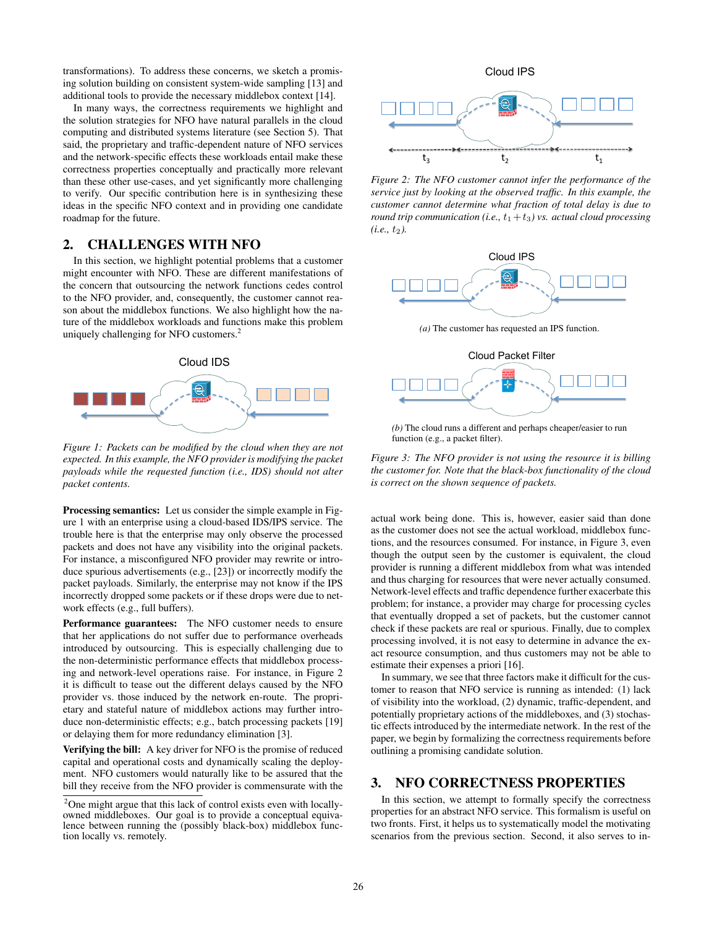transformations). To address these concerns, we sketch a promising solution building on consistent system-wide sampling [13] and additional tools to provide the necessary middlebox context [14].

In many ways, the correctness requirements we highlight and the solution strategies for NFO have natural parallels in the cloud computing and distributed systems literature (see Section 5). That said, the proprietary and traffic-dependent nature of NFO services and the network-specific effects these workloads entail make these correctness properties conceptually and practically more relevant than these other use-cases, and yet significantly more challenging to verify. Our specific contribution here is in synthesizing these ideas in the specific NFO context and in providing one candidate roadmap for the future.

# 2. CHALLENGES WITH NFO

In this section, we highlight potential problems that a customer might encounter with NFO. These are different manifestations of the concern that outsourcing the network functions cedes control to the NFO provider, and, consequently, the customer cannot reason about the middlebox functions. We also highlight how the nature of the middlebox workloads and functions make this problem uniquely challenging for NFO customers.<sup>2</sup>



*Figure 1: Packets can be modified by the cloud when they are not expected. In this example, the NFO provider is modifying the packet payloads while the requested function (i.e., IDS) should not alter packet contents.*

Processing semantics: Let us consider the simple example in Figure 1 with an enterprise using a cloud-based IDS/IPS service. The trouble here is that the enterprise may only observe the processed packets and does not have any visibility into the original packets. For instance, a misconfigured NFO provider may rewrite or introduce spurious advertisements (e.g., [23]) or incorrectly modify the packet payloads. Similarly, the enterprise may not know if the IPS incorrectly dropped some packets or if these drops were due to network effects (e.g., full buffers).

Performance guarantees: The NFO customer needs to ensure that her applications do not suffer due to performance overheads introduced by outsourcing. This is especially challenging due to the non-deterministic performance effects that middlebox processing and network-level operations raise. For instance, in Figure 2 it is difficult to tease out the different delays caused by the NFO provider vs. those induced by the network en-route. The proprietary and stateful nature of middlebox actions may further introduce non-deterministic effects; e.g., batch processing packets [19] or delaying them for more redundancy elimination [3].

**Verifying the bill:** A key driver for NFO is the promise of reduced capital and operational costs and dynamically scaling the deployment. NFO customers would naturally like to be assured that the bill they receive from the NFO provider is commensurate with the



*Figure 2: The NFO customer cannot infer the performance of the service just by looking at the observed traffic. In this example, the customer cannot determine what fraction of total delay is due to round trip communication (i.e.,*  $t_1 + t_3$ ) *vs. actual cloud processing*  $(i.e., t_2)$ .



*(a)* The customer has requested an IPS function.



*(b)* The cloud runs a different and perhaps cheaper/easier to run function (e.g., a packet filter).

*Figure 3: The NFO provider is not using the resource it is billing the customer for. Note that the black-box functionality of the cloud is correct on the shown sequence of packets.*

actual work being done. This is, however, easier said than done as the customer does not see the actual workload, middlebox functions, and the resources consumed. For instance, in Figure 3, even though the output seen by the customer is equivalent, the cloud provider is running a different middlebox from what was intended and thus charging for resources that were never actually consumed. Network-level effects and traffic dependence further exacerbate this problem; for instance, a provider may charge for processing cycles that eventually dropped a set of packets, but the customer cannot check if these packets are real or spurious. Finally, due to complex processing involved, it is not easy to determine in advance the exact resource consumption, and thus customers may not be able to estimate their expenses a priori [16].

In summary, we see that three factors make it difficult for the customer to reason that NFO service is running as intended: (1) lack of visibility into the workload, (2) dynamic, traffic-dependent, and potentially proprietary actions of the middleboxes, and (3) stochastic effects introduced by the intermediate network. In the rest of the paper, we begin by formalizing the correctness requirements before outlining a promising candidate solution.

## 3. NFO CORRECTNESS PROPERTIES

In this section, we attempt to formally specify the correctness properties for an abstract NFO service. This formalism is useful on two fronts. First, it helps us to systematically model the motivating scenarios from the previous section. Second, it also serves to in-

<sup>&</sup>lt;sup>2</sup>One might argue that this lack of control exists even with locallyowned middleboxes. Our goal is to provide a conceptual equivalence between running the (possibly black-box) middlebox function locally vs. remotely.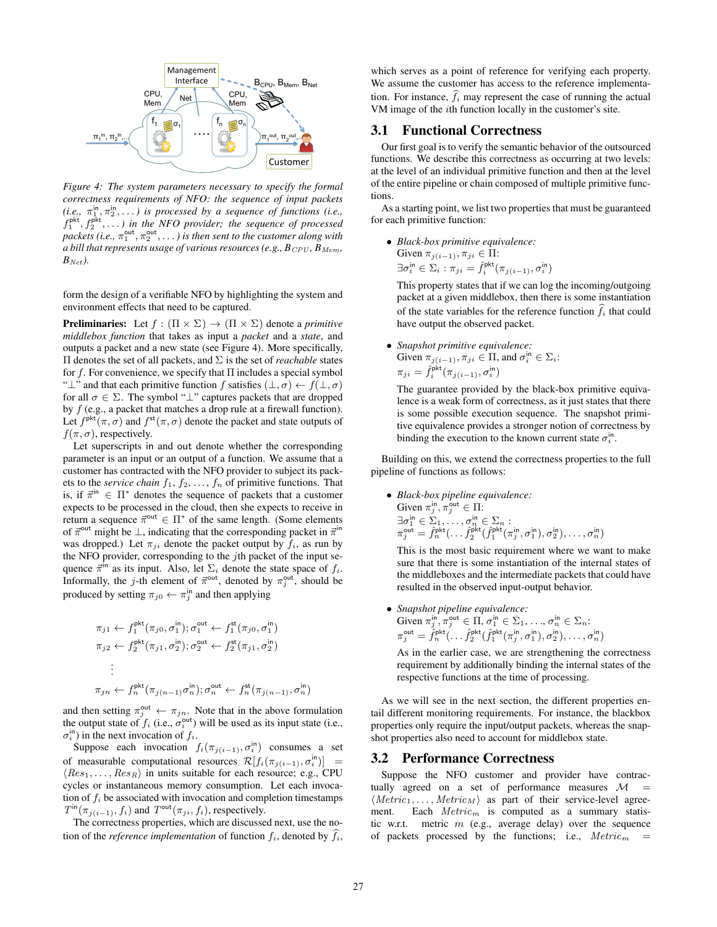

*Figure 4: The system parameters necessary to specify the formal correctness requirements of NFO: the sequence of input packets*  $(i.e., \pi_1^{\text{in}}, \pi_2^{\text{in}}, \dots)$  is processed by a sequence of functions (i.e.,  $f_1^{\text{pkt}}, f_2^{\text{pkt}}, \ldots$ ) in the NFO provider; the sequence of processed packets (i.e.,  $\pi_1^{\text{out}}, \pi_2^{\text{out}}, \ldots$  ) is then sent to the customer along with *a bill that represents usage of various resources (e.g.,*  $B_{CPU}$ *,*  $B_{Mem}$ *,*  $B_{Net}$ ).

form the design of a verifiable NFO by highlighting the system and environment effects that need to be captured.

**Preliminaries:** Let  $f : (\Pi \times \Sigma) \rightarrow (\Pi \times \Sigma)$  denote a *primitive middlebox function* that takes as input a *packet* and a *state*, and outputs a packet and a new state (see Figure 4). More specifically, Π denotes the set of all packets, and Σ is the set of *reachable* states for f. For convenience, we specify that  $\Pi$  includes a special symbol " $\perp$ " and that each primitive function f satisfies  $(\perp, \sigma) \leftarrow f(\perp, \sigma)$ for all  $\sigma \in \Sigma$ . The symbol " $\bot$ " captures packets that are dropped by  $f$  (e.g., a packet that matches a drop rule at a firewall function). Let  $f^{\text{pkt}}(\pi,\sigma)$  and  $f^{\text{st}}(\pi,\sigma)$  denote the packet and state outputs of  $f(\pi, \sigma)$ , respectively.

Let superscripts in and out denote whether the corresponding parameter is an input or an output of a function. We assume that a customer has contracted with the NFO provider to subject its packets to the *service chain*  $f_1, f_2, \ldots, f_n$  of primitive functions. That is, if  $\vec{\pi}^{\text{in}} \in \Pi^*$  denotes the sequence of packets that a customer expects to be processed in the cloud, then she expects to receive in return a sequence  $\vec{\pi}^{\text{out}} \in \Pi^*$  of the same length. (Some elements of  $\vec{\pi}^{\text{out}}$  might be  $\perp$ , indicating that the corresponding packet in  $\vec{\pi}^{\text{in}}$ was dropped.) Let  $\pi_{ji}$  denote the packet output by  $f_i$ , as run by the NFO provider, corresponding to the  $j$ th packet of the input sequence  $\vec{\pi}^{\text{in}}$  as its input. Also, let  $\Sigma_i$  denote the state space of  $f_i$ . Informally, the *j*-th element of  $\vec{\pi}^{\text{out}}$ , denoted by  $\pi_j^{\text{out}}$ , should be produced by setting  $\pi_{j0} \leftarrow \pi_j^{\text{in}}$  and then applying

$$
\pi_{j1} \leftarrow f_1^{\text{pkt}}(\pi_{j0}, \sigma_1^{\text{in}}); \sigma_1^{\text{out}} \leftarrow f_1^{\text{st}}(\pi_{j0}, \sigma_1^{\text{in}})
$$
\n
$$
\pi_{j2} \leftarrow f_2^{\text{pkt}}(\pi_{j1}, \sigma_2^{\text{in}}); \sigma_2^{\text{out}} \leftarrow f_2^{\text{st}}(\pi_{j1}, \sigma_2^{\text{in}})
$$
\n
$$
\vdots
$$
\n
$$
\pi_{jn} \leftarrow f_n^{\text{pkt}}(\pi_{j(n-1)}\sigma_n^{\text{in}}); \sigma_n^{\text{out}} \leftarrow f_n^{\text{st}}(\pi_{j(n-1)}, \sigma_n^{\text{in}})
$$

and then setting  $\pi_j^{\text{out}} \leftarrow \pi_{jn}$ . Note that in the above formulation the output state of  $f_i$  (i.e.,  $\sigma_i^{\text{out}}$ ) will be used as its input state (i.e.,  $\sigma_i^{\text{in}}$ ) in the next invocation of  $f_i$ .

Suppose each invocation  $f_i(\pi_{j(i-1)}, \sigma_i^{\text{in}})$  consumes a set of measurable computational resources  $\mathcal{R}[f_i(\pi_{j(i-1)}, \sigma_i^{\text{in}})] =$  $\langle Res_1, \ldots, Res_R \rangle$  in units suitable for each resource; e.g., CPU cycles or instantaneous memory consumption. Let each invocation of  $f_i$  be associated with invocation and completion timestamps  $T^{\text{in}}(\pi_{j(i-1)}, f_i)$  and  $T^{\text{out}}(\pi_{ji}, f_i)$ , respectively.

The correctness properties, which are discussed next, use the notion of the *reference implementation* of function  $f_i$ , denoted by  $\widehat{f}_i$ ,

which serves as a point of reference for verifying each property. We assume the customer has access to the reference implementation. For instance,  $\hat{f}_i$  may represent the case of running the actual VM image of the ith function locally in the customer's site.

#### 3.1 Functional Correctness

Our first goal is to verify the semantic behavior of the outsourced functions. We describe this correctness as occurring at two levels: at the level of an individual primitive function and then at the level of the entire pipeline or chain composed of multiple primitive functions.

As a starting point, we list two properties that must be guaranteed for each primitive function:

• *Black-box primitive equivalence:* Given  $\pi_{j(i-1)}, \pi_{ji} \in \Pi$ :  $\exists \sigma_i^\mathsf{in} \in \Sigma_i : \pi_{ji} = \hat{f}_i^\mathsf{pkt}(\pi_{j(i-1)}, \sigma_i^\mathsf{in})$ 

This property states that if we can log the incoming/outgoing packet at a given middlebox, then there is some instantiation of the state variables for the reference function  $\hat{f}_i$  that could have output the observed packet.

• *Snapshot primitive equivalence:* Given  $\pi_{j(i-1)}, \pi_{ji} \in \Pi$ , and  $\sigma_i^{\text{in}} \in \Sigma_i$ :  $\pi_{ji} = \hat{f}_i^{\mathsf{pkt}}(\pi_{j(i-1)}, \sigma_i^{\mathsf{in}})$ 

The guarantee provided by the black-box primitive equivalence is a weak form of correctness, as it just states that there is some possible execution sequence. The snapshot primitive equivalence provides a stronger notion of correctness by binding the execution to the known current state  $\sigma_i^{\text{in}}$ .

Building on this, we extend the correctness properties to the full pipeline of functions as follows:

• *Black-box pipeline equivalence:* Given  $\pi_j^{\text{in}}, \pi_j^{\text{out}} \in \Pi$ :  $\exists \sigma_1^{\text{in}} \in \Sigma_1, \ldots, \sigma_n^{\text{in}} \in \Sigma_n:$  $\pi_j^{\text{out}} = \hat{f}^{\text{pkt}}_n(\dots \hat{f}^{\text{pkt}}_2(\hat{f}^{\text{pkt}}_1(\pi_j^{\text{in}}, \sigma_1^{\text{in}}), \sigma_2^{\text{in}}), \dots, \sigma_n^{\text{in}})$ 

This is the most basic requirement where we want to make sure that there is some instantiation of the internal states of the middleboxes and the intermediate packets that could have resulted in the observed input-output behavior.

• *Snapshot pipeline equivalence:* Given  $\pi_j^{\text{in}}, \pi_j^{\text{out}} \in \Pi, \sigma_1^{\text{in}} \in \Sigma_1, \ldots, \sigma_n^{\text{in}} \in \Sigma_n$ :  $\pi_j^{\text{out}} = \hat{f}_n^{\text{pkt}}(\dots \hat{f}_2^{\text{pkt}}(\hat{f}_1^{\text{pkt}}(\pi_j^{\text{in}}, \sigma_1^{\text{in}}), \sigma_2^{\text{in}}), \dots, \sigma_n^{\text{in}})$ 

As in the earlier case, we are strengthening the correctness requirement by additionally binding the internal states of the respective functions at the time of processing.

As we will see in the next section, the different properties entail different monitoring requirements. For instance, the blackbox properties only require the input/output packets, whereas the snapshot properties also need to account for middlebox state.

#### 3.2 Performance Correctness

Suppose the NFO customer and provider have contractually agreed on a set of performance measures  $\mathcal{M}$  =  $\langle Metric_1, \ldots, Metric_M \rangle$  as part of their service-level agreement. Each  $Metric_m$  is computed as a summary statistic w.r.t. metric  $m$  (e.g., average delay) over the sequence of packets processed by the functions; i.e.,  $Metric<sub>m</sub>$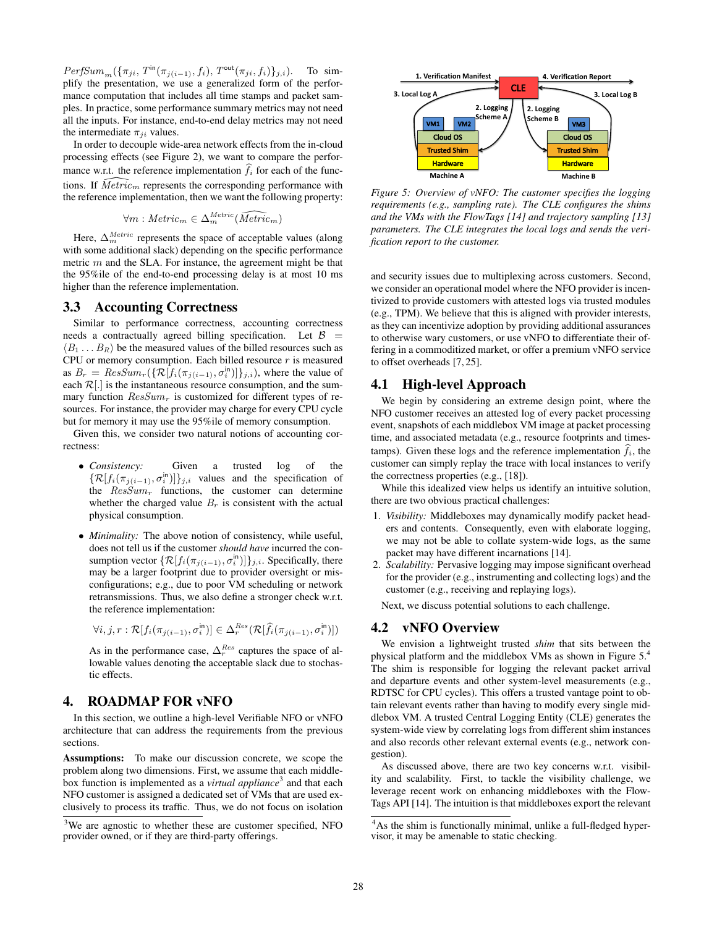$PerfSum_m(\{\pi_{ji}, T^{\text{in}}(\pi_{j(i-1)}, f_i), T^{\text{out}}(\pi_{ji}, f_i)\}_{j,i}).$  To simplify the presentation, we use a generalized form of the performance computation that includes all time stamps and packet samples. In practice, some performance summary metrics may not need all the inputs. For instance, end-to-end delay metrics may not need the intermediate  $\pi_{ii}$  values.

In order to decouple wide-area network effects from the in-cloud processing effects (see Figure 2), we want to compare the performance w.r.t. the reference implementation  $f_i$  for each of the functions. If  $\widehat{Metric}_m$  represents the corresponding performance with the reference implementation, then we want the following property:

$$
\forall m: Metric_m \in \Delta_m^{Metric}(\widehat{Metric_m})
$$

Here,  $\Delta_m^{Metric}$  represents the space of acceptable values (along with some additional slack) depending on the specific performance metric  $m$  and the SLA. For instance, the agreement might be that the 95%ile of the end-to-end processing delay is at most 10 ms higher than the reference implementation.

#### 3.3 Accounting Correctness

Similar to performance correctness, accounting correctness needs a contractually agreed billing specification. Let  $\beta$  =  $\langle B_1 \dots B_R \rangle$  be the measured values of the billed resources such as CPU or memory consumption. Each billed resource  $r$  is measured as  $B_r = ResSum_r(\{\mathcal{R}[f_i(\pi_{j(i-1)}, \sigma_i^{\text{in}})]\}_{j,i})$ , where the value of each  $\mathcal{R}[.]$  is the instantaneous resource consumption, and the summary function  $ResSum<sub>r</sub>$  is customized for different types of resources. For instance, the provider may charge for every CPU cycle but for memory it may use the 95%ile of memory consumption.

Given this, we consider two natural notions of accounting correctness:

- *Consistency:* Given a trusted log of the  $\{\mathcal{R}[f_i(\pi_{j(i-1)}, \sigma_i^{\text{in}})]\}_{j,i}$  values and the specification of the  $ResSum<sub>r</sub>$  functions, the customer can determine whether the charged value  $B_r$  is consistent with the actual physical consumption.
- *Minimality:* The above notion of consistency, while useful, does not tell us if the customer *should have* incurred the consumption vector  $\{\mathcal{R}[f_i(\pi_{j(i-1)}, \sigma_i^{\text{in}})]\}_{j,i}$ . Specifically, there may be a larger footprint due to provider oversight or misconfigurations; e.g., due to poor VM scheduling or network retransmissions. Thus, we also define a stronger check w.r.t. the reference implementation:

$$
\forall i,j,r: \mathcal{R}[f_i(\pi_{j(i-1)},\sigma_i^{\text{in}})] \in \Delta^{Res}_r(\mathcal{R}[\widehat{f}_i(\pi_{j(i-1)},\sigma_i^{\text{in}})])
$$

As in the performance case,  $\Delta_r^{Res}$  captures the space of allowable values denoting the acceptable slack due to stochastic effects.

# 4. ROADMAP FOR vNFO

In this section, we outline a high-level Verifiable NFO or vNFO architecture that can address the requirements from the previous sections.

Assumptions: To make our discussion concrete, we scope the problem along two dimensions. First, we assume that each middlebox function is implemented as a *virtual appliance*<sup>3</sup> and that each NFO customer is assigned a dedicated set of VMs that are used exclusively to process its traffic. Thus, we do not focus on isolation



*Figure 5: Overview of vNFO: The customer specifies the logging requirements (e.g., sampling rate). The CLE configures the shims and the VMs with the FlowTags [14] and trajectory sampling [13] parameters. The CLE integrates the local logs and sends the verification report to the customer.*

and security issues due to multiplexing across customers. Second, we consider an operational model where the NFO provider is incentivized to provide customers with attested logs via trusted modules (e.g., TPM). We believe that this is aligned with provider interests, as they can incentivize adoption by providing additional assurances to otherwise wary customers, or use vNFO to differentiate their offering in a commoditized market, or offer a premium vNFO service to offset overheads [7, 25].

## 4.1 High-level Approach

We begin by considering an extreme design point, where the NFO customer receives an attested log of every packet processing event, snapshots of each middlebox VM image at packet processing time, and associated metadata (e.g., resource footprints and timestamps). Given these logs and the reference implementation  $\hat{f}_i$ , the customer can simply replay the trace with local instances to verify the correctness properties (e.g., [18]).

While this idealized view helps us identify an intuitive solution, there are two obvious practical challenges:

- 1. *Visibility:* Middleboxes may dynamically modify packet headers and contents. Consequently, even with elaborate logging, we may not be able to collate system-wide logs, as the same packet may have different incarnations [14].
- 2. *Scalability:* Pervasive logging may impose significant overhead for the provider (e.g., instrumenting and collecting logs) and the customer (e.g., receiving and replaying logs).

Next, we discuss potential solutions to each challenge.

# 4.2 vNFO Overview

We envision a lightweight trusted *shim* that sits between the physical platform and the middlebox VMs as shown in Figure 5.<sup>4</sup> The shim is responsible for logging the relevant packet arrival and departure events and other system-level measurements (e.g., RDTSC for CPU cycles). This offers a trusted vantage point to obtain relevant events rather than having to modify every single middlebox VM. A trusted Central Logging Entity (CLE) generates the system-wide view by correlating logs from different shim instances and also records other relevant external events (e.g., network congestion).

As discussed above, there are two key concerns w.r.t. visibility and scalability. First, to tackle the visibility challenge, we leverage recent work on enhancing middleboxes with the Flow-Tags API [14]. The intuition is that middleboxes export the relevant

<sup>&</sup>lt;sup>3</sup>We are agnostic to whether these are customer specified, NFO provider owned, or if they are third-party offerings.

<sup>&</sup>lt;sup>4</sup>As the shim is functionally minimal, unlike a full-fledged hypervisor, it may be amenable to static checking.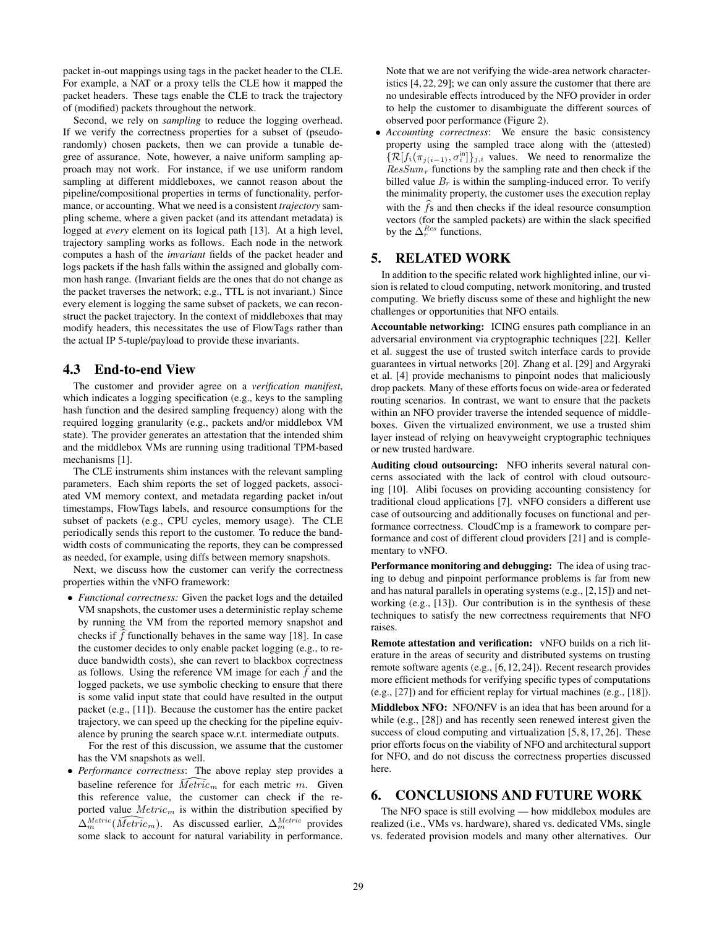packet in-out mappings using tags in the packet header to the CLE. For example, a NAT or a proxy tells the CLE how it mapped the packet headers. These tags enable the CLE to track the trajectory of (modified) packets throughout the network.

Second, we rely on *sampling* to reduce the logging overhead. If we verify the correctness properties for a subset of (pseudorandomly) chosen packets, then we can provide a tunable degree of assurance. Note, however, a naive uniform sampling approach may not work. For instance, if we use uniform random sampling at different middleboxes, we cannot reason about the pipeline/compositional properties in terms of functionality, performance, or accounting. What we need is a consistent *trajectory* sampling scheme, where a given packet (and its attendant metadata) is logged at *every* element on its logical path [13]. At a high level, trajectory sampling works as follows. Each node in the network computes a hash of the *invariant* fields of the packet header and logs packets if the hash falls within the assigned and globally common hash range. (Invariant fields are the ones that do not change as the packet traverses the network; e.g., TTL is not invariant.) Since every element is logging the same subset of packets, we can reconstruct the packet trajectory. In the context of middleboxes that may modify headers, this necessitates the use of FlowTags rather than the actual IP 5-tuple/payload to provide these invariants.

# 4.3 End-to-end View

The customer and provider agree on a *verification manifest*, which indicates a logging specification (e.g., keys to the sampling hash function and the desired sampling frequency) along with the required logging granularity (e.g., packets and/or middlebox VM state). The provider generates an attestation that the intended shim and the middlebox VMs are running using traditional TPM-based mechanisms [1].

The CLE instruments shim instances with the relevant sampling parameters. Each shim reports the set of logged packets, associated VM memory context, and metadata regarding packet in/out timestamps, FlowTags labels, and resource consumptions for the subset of packets (e.g., CPU cycles, memory usage). The CLE periodically sends this report to the customer. To reduce the bandwidth costs of communicating the reports, they can be compressed as needed, for example, using diffs between memory snapshots.

Next, we discuss how the customer can verify the correctness properties within the vNFO framework:

• *Functional correctness:* Given the packet logs and the detailed VM snapshots, the customer uses a deterministic replay scheme by running the VM from the reported memory snapshot and checks if  $f$  functionally behaves in the same way [18]. In case the customer decides to only enable packet logging (e.g., to reduce bandwidth costs), she can revert to blackbox correctness as follows. Using the reference VM image for each  $f$  and the logged packets, we use symbolic checking to ensure that there is some valid input state that could have resulted in the output packet (e.g., [11]). Because the customer has the entire packet trajectory, we can speed up the checking for the pipeline equivalence by pruning the search space w.r.t. intermediate outputs.

For the rest of this discussion, we assume that the customer has the VM snapshots as well.

• *Performance correctness*: The above replay step provides a baseline reference for  $\widehat{Metric}_m$  for each metric m. Given this reference value, the customer can check if the reported value  $Metric_m$  is within the distribution specified by  $\Delta_m^{Metric}(\widehat{Metric}_m)$ . As discussed earlier,  $\Delta_m^{Metric}$  provides some slack to account for natural variability in performance. Note that we are not verifying the wide-area network characteristics [4, 22, 29]; we can only assure the customer that there are no undesirable effects introduced by the NFO provider in order to help the customer to disambiguate the different sources of observed poor performance (Figure 2).

• *Accounting correctness*: We ensure the basic consistency property using the sampled trace along with the (attested)  $\{\mathcal{R}[f_i(\pi_{j(i-1)}, \sigma_i^{\text{in}}]\}_{j,i}$  values. We need to renormalize the  $ResSum<sub>r</sub>$  functions by the sampling rate and then check if the billed value  $B_r$  is within the sampling-induced error. To verify the minimality property, the customer uses the execution replay with the  $\hat{f}$ s and then checks if the ideal resource consumption vectors (for the sampled packets) are within the slack specified by the  $\Delta_r^{Res}$  functions.

## 5. RELATED WORK

In addition to the specific related work highlighted inline, our vision is related to cloud computing, network monitoring, and trusted computing. We briefly discuss some of these and highlight the new challenges or opportunities that NFO entails.

Accountable networking: ICING ensures path compliance in an adversarial environment via cryptographic techniques [22]. Keller et al. suggest the use of trusted switch interface cards to provide guarantees in virtual networks [20]. Zhang et al. [29] and Argyraki et al. [4] provide mechanisms to pinpoint nodes that maliciously drop packets. Many of these efforts focus on wide-area or federated routing scenarios. In contrast, we want to ensure that the packets within an NFO provider traverse the intended sequence of middleboxes. Given the virtualized environment, we use a trusted shim layer instead of relying on heavyweight cryptographic techniques or new trusted hardware.

Auditing cloud outsourcing: NFO inherits several natural concerns associated with the lack of control with cloud outsourcing [10]. Alibi focuses on providing accounting consistency for traditional cloud applications [7]. vNFO considers a different use case of outsourcing and additionally focuses on functional and performance correctness. CloudCmp is a framework to compare performance and cost of different cloud providers [21] and is complementary to vNFO.

Performance monitoring and debugging: The idea of using tracing to debug and pinpoint performance problems is far from new and has natural parallels in operating systems (e.g., [2,15]) and networking (e.g., [13]). Our contribution is in the synthesis of these techniques to satisfy the new correctness requirements that NFO raises.

Remote attestation and verification: vNFO builds on a rich literature in the areas of security and distributed systems on trusting remote software agents (e.g., [6, 12, 24]). Recent research provides more efficient methods for verifying specific types of computations (e.g., [27]) and for efficient replay for virtual machines (e.g., [18]).

Middlebox NFO: NFO/NFV is an idea that has been around for a while (e.g., [28]) and has recently seen renewed interest given the success of cloud computing and virtualization [5, 8, 17, 26]. These prior efforts focus on the viability of NFO and architectural support for NFO, and do not discuss the correctness properties discussed here.

#### 6. CONCLUSIONS AND FUTURE WORK

The NFO space is still evolving — how middlebox modules are realized (i.e., VMs vs. hardware), shared vs. dedicated VMs, single vs. federated provision models and many other alternatives. Our